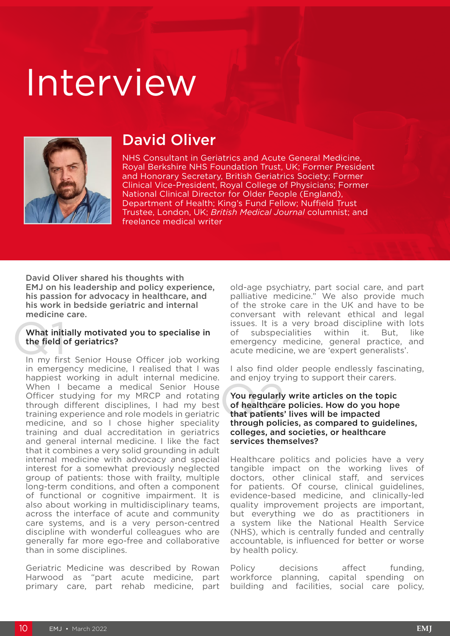# Interview



# David Oliver

NHS Consultant in Geriatrics and Acute General Medicine, Royal Berkshire NHS Foundation Trust, UK; Former President and Honorary Secretary, British Geriatrics Society; Former Clinical Vice-President, Royal College of Physicians; Former National Clinical Director for Older People (England), Department of Health; King's Fund Fellow; Nuffield Trust Trustee, London, UK; *British Medical Journal* columnist; and freelance medical writer

David Oliver shared his thoughts with EMJ on his leadership and policy experience, his passion for advocacy in healthcare, and his work in bedside geriatric and internal medicine care.

# What initially motivated you to specialise in<br>the field of geriatrics?<br>In my first Senior House Officer job working What initially motivated you to specialise in the field of geriatrics?

in emergency medicine, I realised that I was happiest working in adult internal medicine. When I became a medical Senior House Officer studying for my MRCP and rotating through different disciplines, I had my best training experience and role models in geriatric medicine, and so I chose higher speciality training and dual accreditation in geriatrics and general internal medicine. I like the fact that it combines a very solid grounding in adult internal medicine with advocacy and special interest for a somewhat previously neglected group of patients: those with frailty, multiple long-term conditions, and often a component of functional or cognitive impairment. It is also about working in multidisciplinary teams, across the interface of acute and community care systems, and is a very person-centred discipline with wonderful colleagues who are generally far more ego-free and collaborative than in some disciplines.

Geriatric Medicine was described by Rowan Harwood as "part acute medicine, part primary care, part rehab medicine, part

old-age psychiatry, part social care, and part palliative medicine." We also provide much of the stroke care in the UK and have to be conversant with relevant ethical and legal issues. It is a very broad discipline with lots of subspecialities within it. But, like emergency medicine, general practice, and acute medicine, we are 'expert generalists'.

I also find older people endlessly fascinating, and enjoy trying to support their carers.

#### You regularly<br>of healthcare<br>that patients<br>through polic You regularly write articles on the topic of healthcare policies. How do you hope that patients' lives will be impacted through policies, as compared to guidelines, colleges, and societies, or healthcare services themselves?

Healthcare politics and policies have a very tangible impact on the working lives of doctors, other clinical staff, and services for patients. Of course, clinical guidelines, evidence-based medicine, and clinically-led quality improvement projects are important, but everything we do as practitioners in a system like the National Health Service (NHS), which is centrally funded and centrally accountable, is influenced for better or worse by health policy.

Policy decisions affect funding, workforce planning, capital spending on building and facilities, social care policy,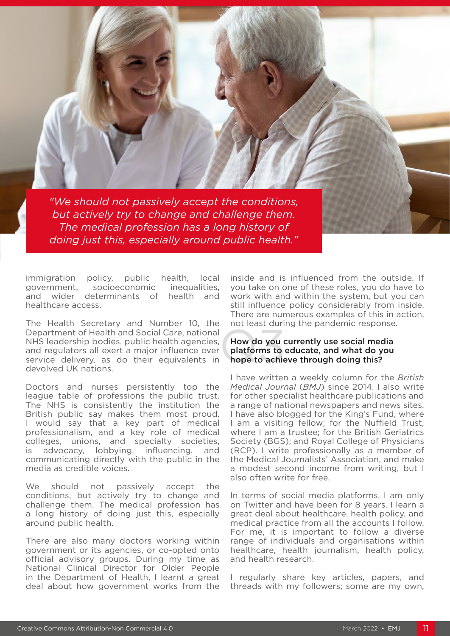*"We should not passively accept the conditions, but actively try to change and challenge them. The medical profession has a long history of doing just this, especially around public health."*

immigration policy, public health, local government, socioeconomic inequalities, and wider determinants of health and healthcare access.

The Health Secretary and Number 10, the Department of Health and Social Care, national NHS leadership bodies, public health agencies, and regulators all exert a major influence over service delivery, as do their equivalents in devolved UK nations.

Doctors and nurses persistently top the league table of professions the public trust. The NHS is consistently the institution the British public say makes them most proud. I would say that a key part of medical professionalism, and a key role of medical colleges, unions, and specialty societies, is advocacy, lobbying, influencing, and communicating directly with the public in the media as credible voices.

We should not passively accept the conditions, but actively try to change and challenge them. The medical profession has a long history of doing just this, especially around public health.

There are also many doctors working within government or its agencies, or co-opted onto official advisory groups. During my time as National Clinical Director for Older People in the Department of Health, I learnt a great deal about how government works from the

inside and is influenced from the outside. If you take on one of these roles, you do have to work with and within the system, but you can still influence policy considerably from inside. There are numerous examples of this in action, not least during the pandemic response.

## How do you<br>platforms to<br>hope to achie How do you currently use social media platforms to educate, and what do you hope to achieve through doing this?

I have written a weekly column for the *British Medical Journal* (*BMJ*) since 2014. I also write for other specialist healthcare publications and a range of national newspapers and news sites. I have also blogged for the King's Fund, where I am a visiting fellow; for the Nuffield Trust, where I am a trustee; for the British Geriatrics Society (BGS); and Royal College of Physicians (RCP). I write professionally as a member of the Medical Journalists' Association, and make a modest second income from writing, but I also often write for free.

In terms of social media platforms, I am only on Twitter and have been for 8 years. I learn a great deal about healthcare, health policy, and medical practice from all the accounts I follow. For me, it is important to follow a diverse range of individuals and organisations within healthcare, health journalism, health policy, and health research.

I regularly share key articles, papers, and threads with my followers; some are my own,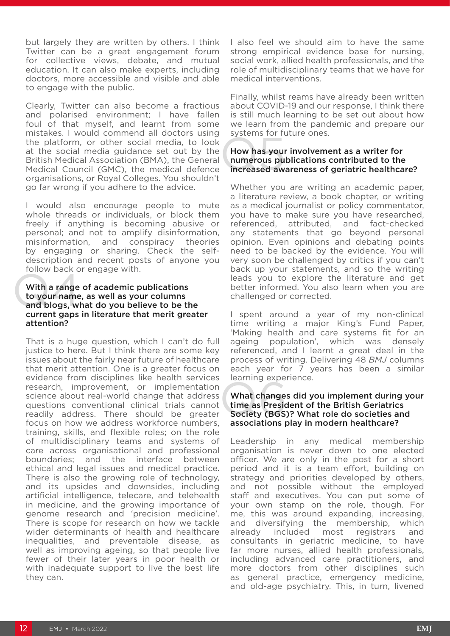but largely they are written by others. I think Twitter can be a great engagement forum for collective views, debate, and mutual education. It can also make experts, including doctors, more accessible and visible and able to engage with the public.

Clearly, Twitter can also become a fractious and polarised environment; I have fallen foul of that myself, and learnt from some mistakes. I would commend all doctors using the platform, or other social media, to look at the social media guidance set out by the British Medical Association (BMA), the General Medical Council (GMC), the medical defence organisations, or Royal Colleges. You shouldn't go far wrong if you adhere to the advice.

I would also encourage people to mute whole threads or individuals, or block them freely if anything is becoming abusive or personal; and not to amplify disinformation,<br>misinformation, and conspiracy theories misinformation, and conspiracy theories by engaging or sharing. Check the selfdescription and recent posts of anyone you follow back or engage with.

### With a range<br>to your name<br>and blogs, w With a range of academic publications to your name, as well as your columns and blogs, what do you believe to be the current gaps in literature that merit greater attention?

That is a huge question, which I can't do full justice to here. But I think there are some key issues about the fairly near future of healthcare that merit attention. One is a greater focus on evidence from disciplines like health services research, improvement, or implementation science about real-world change that address questions conventional clinical trials cannot readily address. There should be greater focus on how we address workforce numbers, training, skills, and flexible roles; on the role of multidisciplinary teams and systems of care across organisational and professional boundaries; and the interface between ethical and legal issues and medical practice. There is also the growing role of technology, and its upsides and downsides, including artificial intelligence, telecare, and telehealth in medicine, and the growing importance of genome research and 'precision medicine'. There is scope for research on how we tackle wider determinants of health and healthcare inequalities, and preventable disease, as well as improving ageing, so that people live fewer of their later years in poor health or with inadequate support to live the best life they can.

I also feel we should aim to have the same strong empirical evidence base for nursing, social work, allied health professionals, and the role of multidisciplinary teams that we have for medical interventions.

Finally, whilst reams have already been written about COVID-19 and our response, I think there is still much learning to be set out about how we learn from the pandemic and prepare our systems for future ones.

## Systems for future ones.<br>
How has your involvement as a writer for<br>
numerous publications contributed to the<br>
increased awareness of geriatric healthcare? How has your involvement as a writer for numerous publications contributed to the

Whether you are writing an academic paper, a literature review, a book chapter, or writing as a medical journalist or policy commentator, you have to make sure you have researched, referenced, attributed, and fact-checked any statements that go beyond personal opinion. Even opinions and debating points need to be backed by the evidence. You will very soon be challenged by critics if you can't back up your statements, and so the writing leads you to explore the literature and get better informed. You also learn when you are challenged or corrected.

I spent around a year of my non-clinical time writing a major King's Fund Paper, 'Making health and care systems fit for an ageing population', which was densely referenced, and I learnt a great deal in the process of writing. Delivering 48 *BMJ* columns each year for 7 years has been a similar learning experience.

## Editing experience.<br>
What changes did you implement during you<br>
time as President of the British Geriatrics<br>
Society (BGS)? What role do societies and<br>
associations play in modern boathcare? What changes did you implement during your time as President of the British Geriatrics associations play in modern healthcare?

Leadership in any medical membership organisation is never down to one elected officer. We are only in the post for a short period and it is a team effort, building on strategy and priorities developed by others, and not possible without the employed staff and executives. You can put some of your own stamp on the role, though. For me, this was around expanding, increasing, and diversifying the membership, which already included most registrars and consultants in geriatric medicine, to have far more nurses, allied health professionals, including advanced care practitioners, and more doctors from other disciplines such as general practice, emergency medicine, and old-age psychiatry. This, in turn, livened